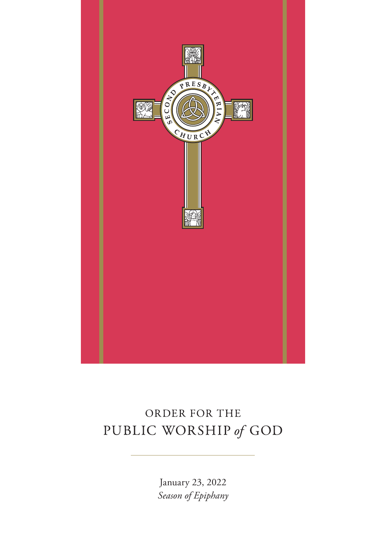

## ORDER FOR THE PUBLIC WORSHIP of GOD

January 23, 2022 *Season of Epiphany*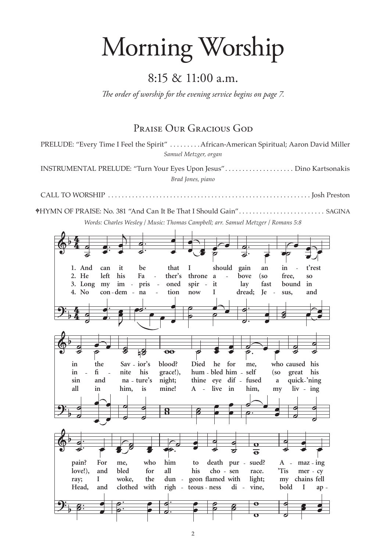# Morning Worship

## 8:15 & 11:00 a.m.

*The order of worship for the evening service begins on page 7.*

## Praise Our Gracious God

PRELUDE: "Every Time I Feel the Spirit" . . . . . . . . African-American Spiritual; Aaron David Miller *Samuel Metzger, organ* INSTRUMENTAL PRELUDE: "Turn Your Eyes Upon Jesus" . . . . . . . . . . . . . . . . . . . . Dino Kartsonakis *Brad Jones, piano* CALL TO WORSHIP . . . . . . . . . . . . . . . . . . . . . . . . . . . . . . . . . . . . . . . . . . . . . . . . . . . . . . . . . . . Josh Preston THE GOSPEL OF GOD WHYMN OF PRAISE: No. 381 "And Can It Be That I Should Gain" . . . . . . . . . . . . . . . . . . . . . . . . . SAGINA 381 And Can It Be That I Should Gain *Words: Charles Wesley / Music: Thomas Campbell; arr. Samuel Metzger / Romans 5:8* **1. And can it be that I should gain an in t'rest 2. He left his Fa ther's throne a bove (so free, so 3. Long my im pris oned spir it lay fast bound in 4. No con dem na tion now I dread; Je sus, and**  $\overline{\mathbf{e}}$ **in the Sav ior's blood? Died he for me, who caused his in fi nite his grace!), hum bled him self (so great his sin and na ture's night; thine eye dif fused a quick 'ning all in him, is mine! A live in him, my liv ing** Ā **pain? For me, who him to death pur sued? A maz ing love!), and bled for all his cho sen race. 'Tis mer cy ray; I woke, the dun geon flamed with light; my chains fell Head, and clothed with righ teous ness di vine, bold I ap**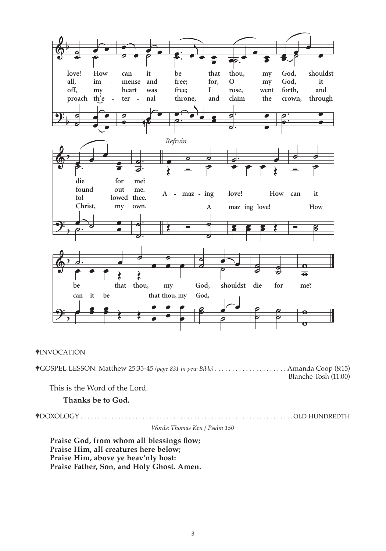

#### **\*INVOCATION**

WGOSPEL LESSON: Matthew 25:35-45 *(page 831 in pew Bible)* . . . . . . . . . . . . . . . . . . . . Amanda Coop (8:15) Blanche Tosh (11:00)

This is the Word of the Lord.

#### **Thanks be to God. 1. Make me a cap tive, Lord, and then I shall be free; 2. I sink in life's a larms when by my self I stand;**

WDOXOLOGY . . . . . . . . . . . . . . . . . . . . . . . . . . . . . . . . . . . . . . . . . . . . . . . . . . . . . . . . . . . . . OLD HUNDREDTH **3. My heart is weak and poor un til its mas ter finds;**

*Words: Thomas Ken | Psalm 150* 

**Praise God, from whom all blessings flow; Praise Him, all creatures here below; Praise Him, above ye heav'nly host: Praise Father, Son, and Holy Ghost. Amen.**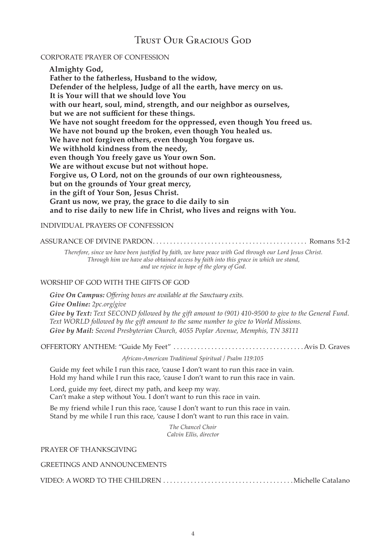## Trust Our Gracious God

#### CORPORATE PRAYER OF CONFESSION

**Almighty God, Father to the fatherless, Husband to the widow, Defender of the helpless, Judge of all the earth, have mercy on us. It is Your will that we should love You with our heart, soul, mind, strength, and our neighbor as ourselves, but we are not sufficient for these things. We have not sought freedom for the oppressed, even though You freed us. We have not bound up the broken, even though You healed us. We have not forgiven others, even though You forgave us. We withhold kindness from the needy, even though You freely gave us Your own Son. We are without excuse but not without hope. Forgive us, O Lord, not on the grounds of our own righteousness, but on the grounds of Your great mercy, in the gift of Your Son, Jesus Christ. Grant us now, we pray, the grace to die daily to sin and to rise daily to new life in Christ, who lives and reigns with You.**

#### INDIVIDUAL PRAYERS OF CONFESSION

#### ASSURANCE OF DIVINE PARDON . . . . . . . . . . . . . . . . . . . . . . . . . . . . . . . . . . . . . . . . . . . . . Romans 5:1-2

*Therefore, since we have been justified by faith, we have peace with God through our Lord Jesus Christ. Through him we have also obtained access by faith into this grace in which we stand, and we rejoice in hope of the glory of God.*

#### WORSHIP OF GOD WITH THE GIFTS OF GOD

*Give On Campus: Offering boxes are available at the Sanctuary exits. Give Online: 2pc.org/give Give by Text: Text SECOND followed by the gift amount to (901) 410-9500 to give to the General Fund. Text WORLD followed by the gift amount to the same number to give to World Missions. Give by Mail: Second Presbyterian Church, 4055 Poplar Avenue, Memphis, TN 38111*

OFFERTORY ANTHEM: "Guide My Feet" . . . . . . . . . . . . . . . . . . . . . . . . . . . . . . . . . . . . . Avis D. Graves

*African-American Traditional Spiritual / Psalm 119:105*

Guide my feet while I run this race, 'cause I don't want to run this race in vain. Hold my hand while I run this race, 'cause I don't want to run this race in vain.

Lord, guide my feet, direct my path, and keep my way. Can't make a step without You. I don't want to run this race in vain.

Be my friend while I run this race, 'cause I don't want to run this race in vain. Stand by me while I run this race, 'cause I don't want to run this race in vain.

> *The Chancel Choir Calvin Ellis, director*

PRAYER OF THANKSGIVING

#### GREETINGS AND ANNOUNCEMENTS

VIDEO: A WORD TO THE CHILDREN . . . . . . . . . . . . . . . . . . . . . . . . . . . . . . . . . . . . . Michelle Catalano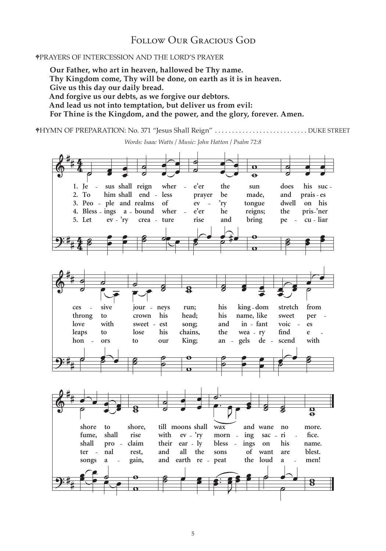## Follow Our Gracious God

#### WPRAYERS OF INTERCESSION AND THE LORD'S PRAYER

**Our Father, who art in heaven, hallowed be Thy name.** Thy Kingdom come, Thy will be done, on earth as it is in heaven.<br>Cive us this day our daily bread **Give us this day our daily bread.**  And forgive us our debts, as we forgive our debtors. **And lead us not into temptation, but deliver us from evil:** And lead us not into temptation, but deliver us from evil:<br>For Thine is the Kingdom, and the power, and the glory, forever. Amen.

WHYMN OF PREPARATION: No. 371 "Jesus Shall Reign" . . . . . . . . . . . . . . . . . . . . . . . . . . . DUKE STREET 371 Jesus Shall Reign **1. Je sus shall reign wher e'er the sun does his suc**

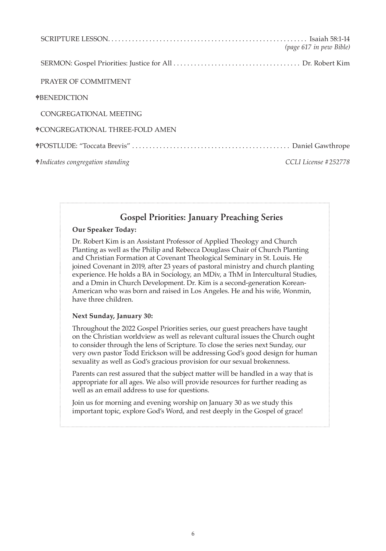|                                                            | (page 617 in pew Bible) |
|------------------------------------------------------------|-------------------------|
|                                                            |                         |
| PRAYER OF COMMITMENT                                       |                         |
| <b>*BENEDICTION</b>                                        |                         |
| CONGREGATIONAL MEETING                                     |                         |
| <b><math>\Uparrow</math>CONGREGATIONAL THREE-FOLD AMEN</b> |                         |
|                                                            |                         |
| <i><b>Multiplier + Indicates congregation standing</b></i> | CCLI License #252778    |

## **Gospel Priorities: January Preaching Series**

#### **Our Speaker Today:**

Dr. Robert Kim is an Assistant Professor of Applied Theology and Church Planting as well as the Philip and Rebecca Douglass Chair of Church Planting and Christian Formation at Covenant Theological Seminary in St. Louis. He joined Covenant in 2019, after 23 years of pastoral ministry and church planting experience. He holds a BA in Sociology, an MDiv, a ThM in Intercultural Studies, and a Dmin in Church Development. Dr. Kim is a second-generation Korean-American who was born and raised in Los Angeles. He and his wife, Wonmin, have three children.

#### **Next Sunday, January 30:**

Throughout the 2022 Gospel Priorities series, our guest preachers have taught on the Christian worldview as well as relevant cultural issues the Church ought to consider through the lens of Scripture. To close the series next Sunday, our very own pastor Todd Erickson will be addressing God's good design for human sexuality as well as God's gracious provision for our sexual brokenness.

Parents can rest assured that the subject matter will be handled in a way that is appropriate for all ages. We also will provide resources for further reading as well as an email address to use for questions.

Join us for morning and evening worship on January 30 as we study this important topic, explore God's Word, and rest deeply in the Gospel of grace!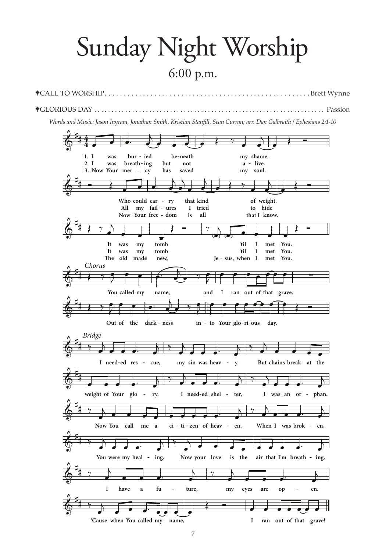## Sunday Night Worship 6:00 p.m.

- WCALL TO WORSHIP . . . . . . . . . . . . . . . . . . . . . . . . . . . . . . . . . . . . . . . . . . . . . . . . . . . . . .Brett Wynne
- WGLORIOUS DAY . . . . . . . . . . . . . . . . . . . . . . . . . . . . . . . . . . . . . . . . . . . . . . . . . . . . . . . . . . . . . . . . . . . Passion

*Words and Music: Jason Ingram, Jonathan Smith, Kristian Stanfill, Sean Curran; arr. Dan Galbraith / Ephesians 2:1-10*

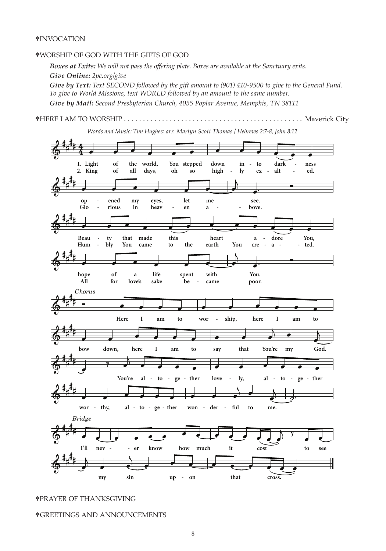#### **<sup>\*</sup>INVOCATION**

#### WWORSHIP OF GOD WITH THE GIFTS OF GOD

*Boxes at Exits: We will not pass the offering plate. Boxes are available at the Sanctuary exits. Give Online: 2pc.org/give Give by Text: Text SECOND followed by the gift amount to (901) 410-9500 to give to the General Fund. To give to World Missions, text WORLD followed by an amount to the same number. Give by Mail: Second Presbyterian Church, 4055 Poplar Avenue, Memphis, TN 38111*

WHERE I AM TO WORSHIP . . . . . . . . . . . . . . . . . . . . . . . . . . . . . . . . . . . . . . . . . . . . . . . Maverick City

*Words and Music: Tim Hughes; arr. Martyn Scott Thomas / Hebrews 2:7-8, John 8:12*



WPRAYER OF THANKSGIVING

**\*GREETINGS AND ANNOUNCEMENTS**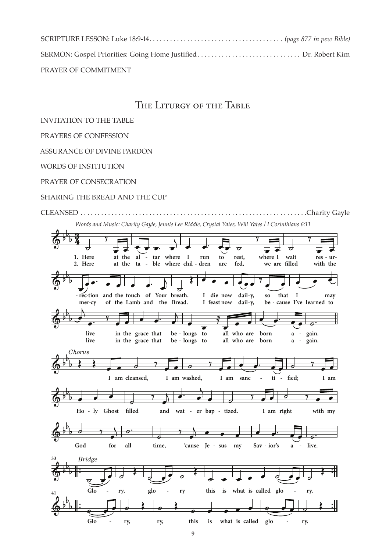| PRAYER OF COMMITMENT |  |
|----------------------|--|

## The Liturgy of the Table

INVITATION TO THE TABLE

PRAYERS OF CONFESSION

ASSURANCE OF DIVINE PARDON

WORDS OF INSTITUTION

PRAYER OF CONSECRATION

#### SHARING THE BREAD AND THE CUP

CLEANSED . . . . . . . . . . . . . . . . . . . . . . . . . . . . . . . . . . . . . . . . . . . . . . . . . . . . . . . . . . . . . . . . . Charity Gayle

*Words and Music: Charity Gayle, Jennie Lee Riddle, Crystal Yates, Will Yates / I Corinthians 6:11*

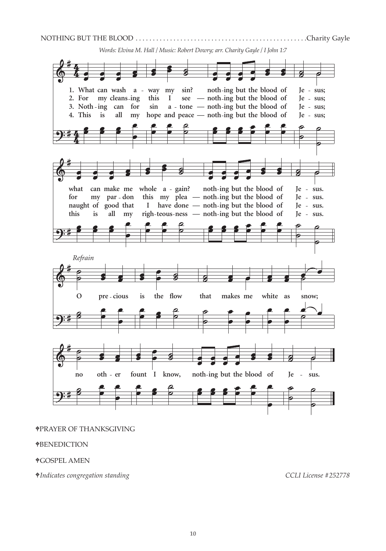NOTHING BUT THE BLOOD . . . . . . . . . . . . . . . . . . . . . . . . . . . . . . . . . . . . . . . . . . . . . . . . . Charity Gayle Nothing but the Blood 267 Words: Elvina M. Hall / Music: Robert Dowry; arr. Charity Gayle / I John 1:7 1. What can wash  $a - way my sin?$  noth-ing but the blood of Je - sus; 1. What can wash a - way my sin? noth-ing but the blood of Je - sus;<br>2. For my cleans-ing this I see — noth-ing but the blood of Je - sus; **3. Noth ing can for sin a tone — noth ing but the blood of Je sus; 4. This is all my hope and peace — noth ing but the blood of Je sus;** not the part of that the state of the state of the state of the state in the state of the state of the state of the state of the state in the state of the state in the state of the state in the state in the state of the st **his** is all my righ-teous-ness — noth-ing but the blood of Je - sus. **naught of good that I have done — noth ing but the blood of Je sus. this is all my righ teous ness — noth ing but the blood of Je sus.** *Refrain* **O pre cious is the flow that makes me white as snow; no oth er fount I know, noth ing but the blood of Je sus. 1. What can wash a way my sin? noth ing but the blood of Je sus; 2. For my cleans ing this I see — noth ing but the blood of Je sus;** what can make me whole  $a$  - gain? noth-ing but the blood of  $\overline{e}$  - sus. or and the whole a sain: hour-ing but the blood of the sus.<br>for my par - don this my plea — noth-ing but the blood of the sus. *Refrain* **O pre cious is the flow that makes me white as snow; no oth er fount I know, noth ing but the blood of Je sus. 1. What can wash a way my sin? noth ing but the blood of Je sus; 2. For my cleans ing this I see — noth ing but the blood of Je sus; 3. Noth ing can for sin a tone — noth ing but the blood of Je sus; what can make me whole a gain? noth ing but the blood of Je sus.** *Refrain* **O pre cious is the flow that makes me white as snow; no oth er fount I know, noth ing but the blood of Je sus. 2. 1.** *FOR <b>I* **I I** *I* **I I** *I* **I I** *VOLT <b>DOWIT, I I I I I I I I I I I I I I I I I II***</del> <b>***II* **3. Noth ing can for sin a tone — noth ing but the blood of Je sus; 4. This is all my hope and peace — noth ing but the blood of Je sus; what can make me whole a gain? noth ing but the blood of Je sus. for my par don this my plea — noth ing but the blood of Je sus. naught of good that I have done — noth ing but the blood of Je sus.** *Refrain* **O pre cious is the flow that makes me white as snow; no oth er fount I know, noth ing but the blood of Je sus.**

#### **\*PRAYER OF THANKSGIVING**

#### **PBENEDICTION**  $\mathcal{L}$  . The contract  $\mathcal{L}$

#### WGOSPEL AMEN WORDS: ROBERT LOWERS: ROBERT LOWERS: ROBERT LOWERS: ROBERT LOWERS: 1876 PLAINFIELD MUSIC: Robert Lowry, 1876 7.8.7.8 with refrain

## $\bullet$ *Indicates congregation standing*  $CCLI$  *License #252778*

**CCLI** License #252778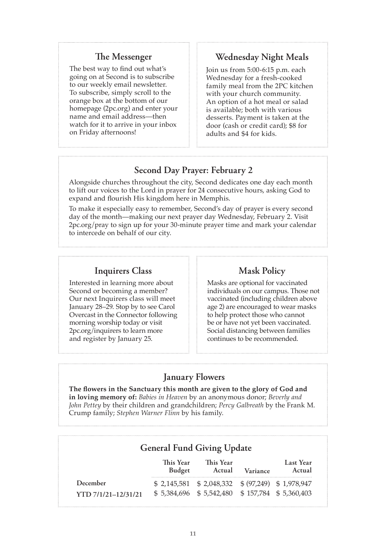### **The Messenger**

The best way to find out what's going on at Second is to subscribe to our weekly email newsletter. To subscribe, simply scroll to the orange box at the bottom of our homepage (2pc.org) and enter your name and email address—then watch for it to arrive in your inbox on Friday afternoons!

## **Wednesday Night Meals**

Join us from 5:00-6:15 p.m. each Wednesday for a fresh-cooked family meal from the 2PC kitchen with your church community. An option of a hot meal or salad is available; both with various desserts. Payment is taken at the door (cash or credit card); \$8 for adults and \$4 for kids.

## **Second Day Prayer: February 2**

Alongside churches throughout the city, Second dedicates one day each month to lift our voices to the Lord in prayer for 24 consecutive hours, asking God to expand and flourish His kingdom here in Memphis.

To make it especially easy to remember, Second's day of prayer is every second day of the month—making our next prayer day Wednesday, February 2. Visit 2pc.org/pray to sign up for your 30-minute prayer time and mark your calendar to intercede on behalf of our city.

## **Inquirers Class**

Interested in learning more about Second or becoming a member? Our next Inquirers class will meet January 28–29. Stop by to see Carol Overcast in the Connector following morning worship today or visit 2pc.org/inquirers to learn more and register by January 25.

#### **Mask Policy**

Masks are optional for vaccinated individuals on our campus. Those not vaccinated (including children above age 2) are encouraged to wear masks to help protect those who cannot be or have not yet been vaccinated. Social distancing between families continues to be recommended.

## **January Flowers**

**The flowers in the Sanctuary this month are given to the glory of God and in loving memory of:** *Babies in Heaven* by an anonymous donor; *Beverly and John Pettey* by their children and grandchildren; *Percy Galbreath* by the Frank M. Crump family; *Stephen Warner Flinn* by his family.

| <b>General Fund Giving Update</b> |                     |                                                    |          |                     |  |  |
|-----------------------------------|---------------------|----------------------------------------------------|----------|---------------------|--|--|
|                                   | This Year<br>Budget | This Year<br>Actual                                | Variance | Last Year<br>Actual |  |  |
| December                          |                     | $$2,145,581$ $$2,048,332$ $$(97,249)$ $$1,978,947$ |          |                     |  |  |
| YTD 7/1/21-12/31/21               |                     | $$5,384,696$ $$5,542,480$ $$157,784$ $$5,360,403$  |          |                     |  |  |